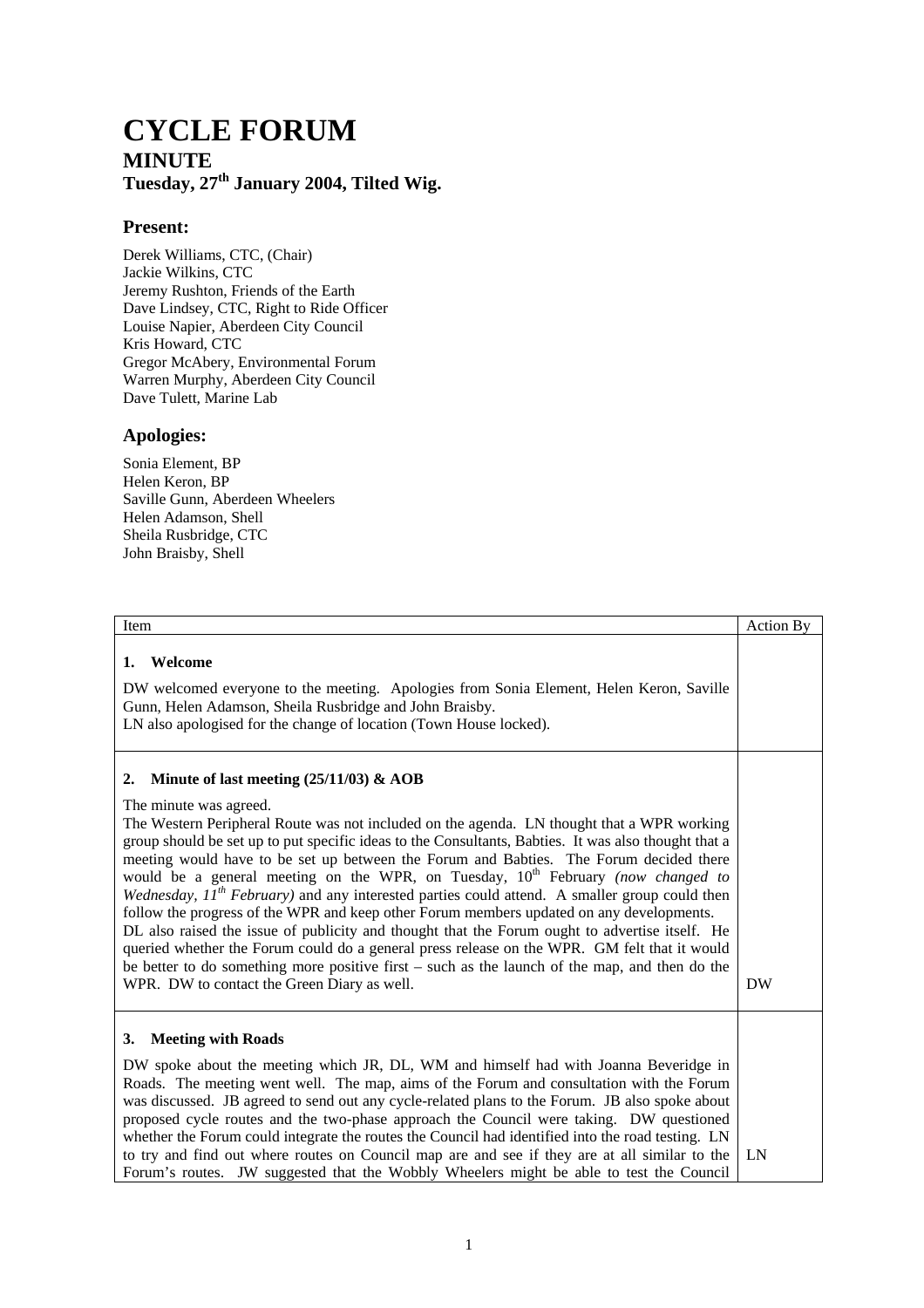## **CYCLE FORUM MINUTE Tuesday, 27th January 2004, Tilted Wig.**

## **Present:**

Derek Williams, CTC, (Chair) Jackie Wilkins, CTC Jeremy Rushton, Friends of the Earth Dave Lindsey, CTC, Right to Ride Officer Louise Napier, Aberdeen City Council Kris Howard, CTC Gregor McAbery, Environmental Forum Warren Murphy, Aberdeen City Council Dave Tulett, Marine Lab

## **Apologies:**

Sonia Element, BP Helen Keron, BP Saville Gunn, Aberdeen Wheelers Helen Adamson, Shell Sheila Rusbridge, CTC John Braisby, Shell

| Item                                                                                                                                                                                                                                                                                                                                                                                                                                                                                                                                                                                                                                                                                                                                                                                                                                                                                                                                                                                                                    | <b>Action By</b> |
|-------------------------------------------------------------------------------------------------------------------------------------------------------------------------------------------------------------------------------------------------------------------------------------------------------------------------------------------------------------------------------------------------------------------------------------------------------------------------------------------------------------------------------------------------------------------------------------------------------------------------------------------------------------------------------------------------------------------------------------------------------------------------------------------------------------------------------------------------------------------------------------------------------------------------------------------------------------------------------------------------------------------------|------------------|
| Welcome<br>1.<br>DW welcomed everyone to the meeting. Apologies from Sonia Element, Helen Keron, Saville<br>Gunn, Helen Adamson, Sheila Rusbridge and John Braisby.<br>LN also apologised for the change of location (Town House locked).                                                                                                                                                                                                                                                                                                                                                                                                                                                                                                                                                                                                                                                                                                                                                                               |                  |
| Minute of last meeting $(25/11/03)$ & AOB<br>2.<br>The minute was agreed.<br>The Western Peripheral Route was not included on the agenda. LN thought that a WPR working<br>group should be set up to put specific ideas to the Consultants, Babties. It was also thought that a<br>meeting would have to be set up between the Forum and Babties. The Forum decided there<br>would be a general meeting on the WPR, on Tuesday, $10^{th}$ February (now changed to<br>Wednesday, $II^{th}$ February) and any interested parties could attend. A smaller group could then<br>follow the progress of the WPR and keep other Forum members updated on any developments.<br>DL also raised the issue of publicity and thought that the Forum ought to advertise itself. He<br>queried whether the Forum could do a general press release on the WPR. GM felt that it would<br>be better to do something more positive first – such as the launch of the map, and then do the<br>WPR. DW to contact the Green Diary as well. | <b>DW</b>        |
| <b>Meeting with Roads</b><br>3.<br>DW spoke about the meeting which JR, DL, WM and himself had with Joanna Beveridge in<br>Roads. The meeting went well. The map, aims of the Forum and consultation with the Forum<br>was discussed. JB agreed to send out any cycle-related plans to the Forum. JB also spoke about<br>proposed cycle routes and the two-phase approach the Council were taking. DW questioned<br>whether the Forum could integrate the routes the Council had identified into the road testing. LN<br>to try and find out where routes on Council map are and see if they are at all similar to the<br>Forum's routes. JW suggested that the Wobbly Wheelers might be able to test the Council                                                                                                                                                                                                                                                                                                       | LN               |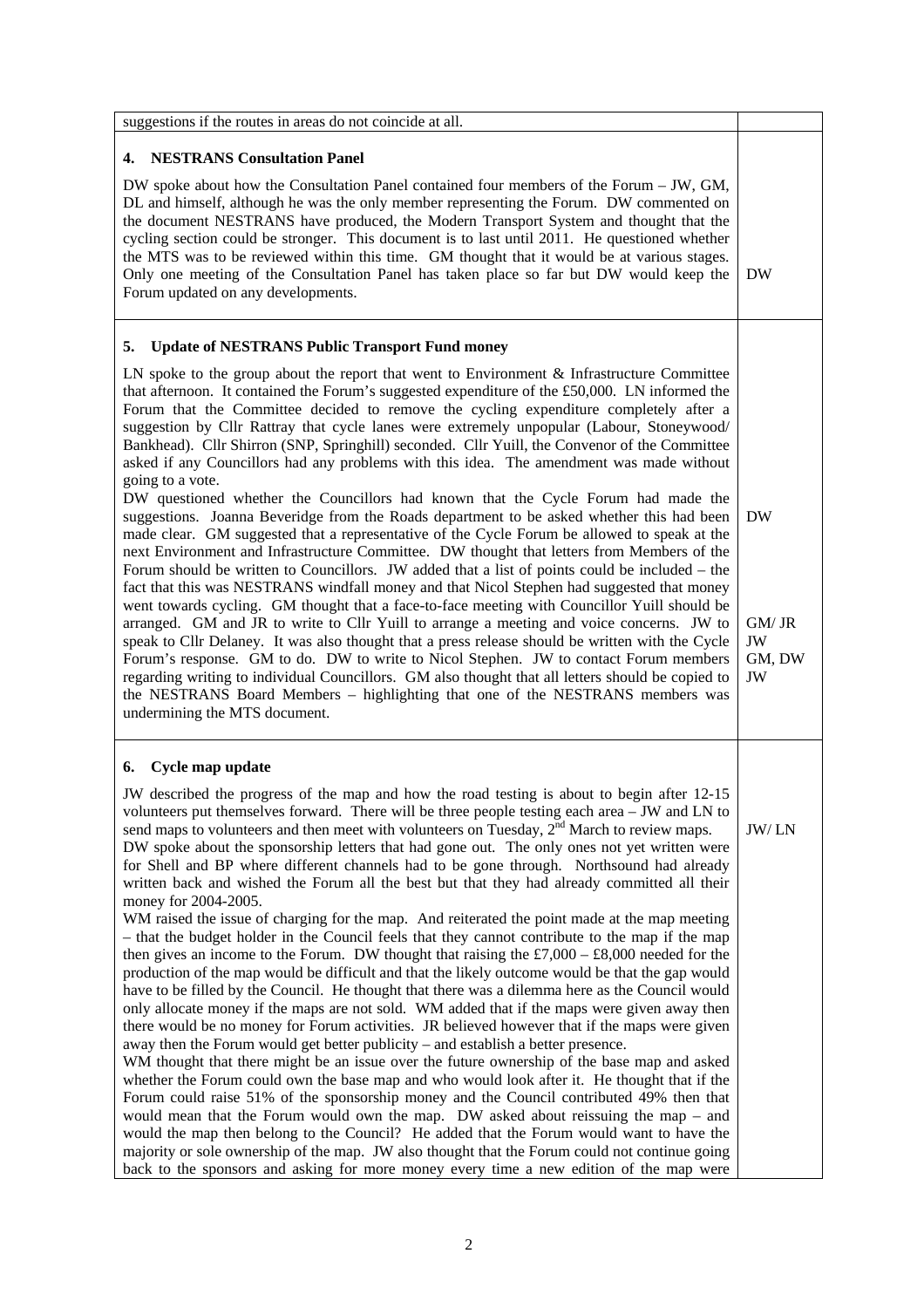| suggestions if the routes in areas do not coincide at all.                                                                                                                                                                                                                                                                                                                                                                                                                                                                                                                                                                                                                                                                                                                                                                                                                                                                                                                                                                                                                                                                                                                                                                                                                                                                                                                                                                                                                                                                                                                                                                                                                                                                                                                                                                                                                                                                                                                                                                                        |        |
|---------------------------------------------------------------------------------------------------------------------------------------------------------------------------------------------------------------------------------------------------------------------------------------------------------------------------------------------------------------------------------------------------------------------------------------------------------------------------------------------------------------------------------------------------------------------------------------------------------------------------------------------------------------------------------------------------------------------------------------------------------------------------------------------------------------------------------------------------------------------------------------------------------------------------------------------------------------------------------------------------------------------------------------------------------------------------------------------------------------------------------------------------------------------------------------------------------------------------------------------------------------------------------------------------------------------------------------------------------------------------------------------------------------------------------------------------------------------------------------------------------------------------------------------------------------------------------------------------------------------------------------------------------------------------------------------------------------------------------------------------------------------------------------------------------------------------------------------------------------------------------------------------------------------------------------------------------------------------------------------------------------------------------------------------|--------|
|                                                                                                                                                                                                                                                                                                                                                                                                                                                                                                                                                                                                                                                                                                                                                                                                                                                                                                                                                                                                                                                                                                                                                                                                                                                                                                                                                                                                                                                                                                                                                                                                                                                                                                                                                                                                                                                                                                                                                                                                                                                   |        |
| <b>4. NESTRANS Consultation Panel</b><br>DW spoke about how the Consultation Panel contained four members of the Forum $-$ JW, GM,<br>DL and himself, although he was the only member representing the Forum. DW commented on<br>the document NESTRANS have produced, the Modern Transport System and thought that the<br>cycling section could be stronger. This document is to last until 2011. He questioned whether<br>the MTS was to be reviewed within this time. GM thought that it would be at various stages.<br>Only one meeting of the Consultation Panel has taken place so far but DW would keep the<br>DW<br>Forum updated on any developments.                                                                                                                                                                                                                                                                                                                                                                                                                                                                                                                                                                                                                                                                                                                                                                                                                                                                                                                                                                                                                                                                                                                                                                                                                                                                                                                                                                                     |        |
| <b>Update of NESTRANS Public Transport Fund money</b><br>5.                                                                                                                                                                                                                                                                                                                                                                                                                                                                                                                                                                                                                                                                                                                                                                                                                                                                                                                                                                                                                                                                                                                                                                                                                                                                                                                                                                                                                                                                                                                                                                                                                                                                                                                                                                                                                                                                                                                                                                                       |        |
| LN spoke to the group about the report that went to Environment $\&$ Infrastructure Committee<br>that afternoon. It contained the Forum's suggested expenditure of the £50,000. LN informed the<br>Forum that the Committee decided to remove the cycling expenditure completely after a<br>suggestion by Cllr Rattray that cycle lanes were extremely unpopular (Labour, Stoneywood/<br>Bankhead). Cllr Shirron (SNP, Springhill) seconded. Cllr Yuill, the Convenor of the Committee<br>asked if any Councillors had any problems with this idea. The amendment was made without<br>going to a vote.<br>DW questioned whether the Councillors had known that the Cycle Forum had made the<br>suggestions. Joanna Beveridge from the Roads department to be asked whether this had been<br><b>DW</b><br>made clear. GM suggested that a representative of the Cycle Forum be allowed to speak at the<br>next Environment and Infrastructure Committee. DW thought that letters from Members of the<br>Forum should be written to Councillors. JW added that a list of points could be included – the<br>fact that this was NESTRANS windfall money and that Nicol Stephen had suggested that money<br>went towards cycling. GM thought that a face-to-face meeting with Councillor Yuill should be<br>arranged. GM and JR to write to Cllr Yuill to arrange a meeting and voice concerns. JW to<br>GM/JR<br>speak to Cllr Delaney. It was also thought that a press release should be written with the Cycle<br>JW<br>Forum's response. GM to do. DW to write to Nicol Stephen. JW to contact Forum members<br>regarding writing to individual Councillors. GM also thought that all letters should be copied to<br>JW<br>the NESTRANS Board Members - highlighting that one of the NESTRANS members was<br>undermining the MTS document.                                                                                                                                                                                                        | GM, DW |
|                                                                                                                                                                                                                                                                                                                                                                                                                                                                                                                                                                                                                                                                                                                                                                                                                                                                                                                                                                                                                                                                                                                                                                                                                                                                                                                                                                                                                                                                                                                                                                                                                                                                                                                                                                                                                                                                                                                                                                                                                                                   |        |
| Cycle map update<br>6.<br>JW described the progress of the map and how the road testing is about to begin after 12-15<br>volunteers put themselves forward. There will be three people testing each area – JW and LN to<br>send maps to volunteers and then meet with volunteers on Tuesday, 2 <sup>nd</sup> March to review maps.<br>JW/LN<br>DW spoke about the sponsorship letters that had gone out. The only ones not yet written were<br>for Shell and BP where different channels had to be gone through. Northsound had already<br>written back and wished the Forum all the best but that they had already committed all their<br>money for 2004-2005.<br>WM raised the issue of charging for the map. And reiterated the point made at the map meeting<br>- that the budget holder in the Council feels that they cannot contribute to the map if the map<br>then gives an income to the Forum. DW thought that raising the £7,000 – £8,000 needed for the<br>production of the map would be difficult and that the likely outcome would be that the gap would<br>have to be filled by the Council. He thought that there was a dilemma here as the Council would<br>only allocate money if the maps are not sold. WM added that if the maps were given away then<br>there would be no money for Forum activities. JR believed however that if the maps were given<br>away then the Forum would get better publicity – and establish a better presence.<br>WM thought that there might be an issue over the future ownership of the base map and asked<br>whether the Forum could own the base map and who would look after it. He thought that if the<br>Forum could raise 51% of the sponsorship money and the Council contributed 49% then that<br>would mean that the Forum would own the map. DW asked about reissuing the map – and<br>would the map then belong to the Council? He added that the Forum would want to have the<br>majority or sole ownership of the map. JW also thought that the Forum could not continue going |        |